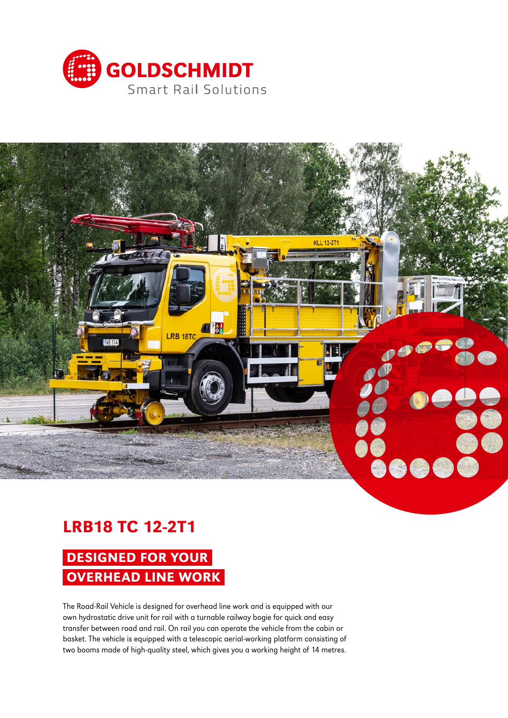



## LRB18 TC 12-2T1

# DESIGNED FOR YOUR OVERHEAD LINE WORK

The Road-Rail Vehicle is designed for overhead line work and is equipped with our own hydrostatic drive unit for rail with a turnable railway bogie for quick and easy transfer between road and rail. On rail you can operate the vehicle from the cabin or basket. The vehicle is equipped with a telescopic aerial-working platform consisting of two booms made of high-quality steel, which gives you a working height of 14 metres.